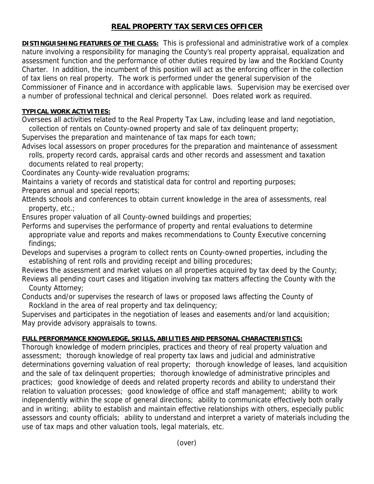# **REAL PROPERTY TAX SERVICES OFFICER**

**DISTINGUISHING FEATURES OF THE CLASS:** This is professional and administrative work of a complex nature involving a responsibility for managing the County's real property appraisal, equalization and assessment function and the performance of other duties required by law and the Rockland County Charter. In addition, the incumbent of this position will act as the enforcing officer in the collection of tax liens on real property. The work is performed under the general supervision of the Commissioner of Finance and in accordance with applicable laws. Supervision may be exercised over a number of professional technical and clerical personnel. Does related work as required.

### **TYPICAL WORK ACTIVITIES:**

Oversees all activities related to the Real Property Tax Law, including lease and land negotiation, collection of rentals on County-owned property and sale of tax delinquent property;

Supervises the preparation and maintenance of tax maps for each town;

Advises local assessors on proper procedures for the preparation and maintenance of assessment rolls, property record cards, appraisal cards and other records and assessment and taxation

 documents related to real property; Coordinates any County-wide revaluation programs;

Maintains a variety of records and statistical data for control and reporting purposes; Prepares annual and special reports;

Attends schools and conferences to obtain current knowledge in the area of assessments, real property, etc.;

Ensures proper valuation of all County-owned buildings and properties;

Performs and supervises the performance of property and rental evaluations to determine appropriate value and reports and makes recommendations to County Executive concerning findings;

Develops and supervises a program to collect rents on County-owned properties, including the establishing of rent rolls and providing receipt and billing procedures;

Reviews the assessment and market values on all properties acquired by tax deed by the County; Reviews all pending court cases and litigation involving tax matters affecting the County with the County Attorney;

Conducts and/or supervises the research of laws or proposed laws affecting the County of Rockland in the area of real property and tax delinquency;

Supervises and participates in the negotiation of leases and easements and/or land acquisition; May provide advisory appraisals to towns.

## **FULL PERFORMANCE KNOWLEDGE, SKILLS, ABILITIES AND PERSONAL CHARACTERISTICS:**

Thorough knowledge of modern principles, practices and theory of real property valuation and assessment; thorough knowledge of real property tax laws and judicial and administrative determinations governing valuation of real property; thorough knowledge of leases, land acquisition and the sale of tax delinquent properties; thorough knowledge of administrative principles and practices; good knowledge of deeds and related property records and ability to understand their relation to valuation processes; good knowledge of office and staff management; ability to work independently within the scope of general directions; ability to communicate effectively both orally and in writing; ability to establish and maintain effective relationships with others, especially public assessors and county officials; ability to understand and interpret a variety of materials including the use of tax maps and other valuation tools, legal materials, etc.